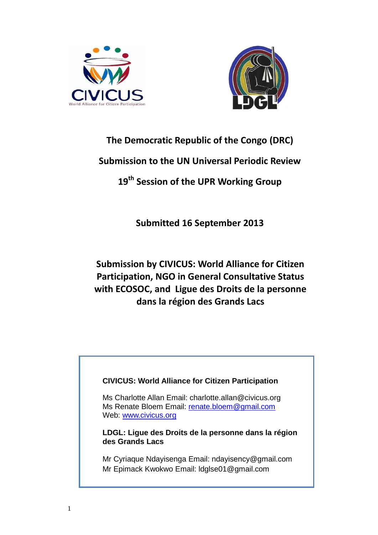



# **The Democratic Republic of the Congo (DRC)**

# **Submission to the UN Universal Periodic Review**

# **19th Session of the UPR Working Group**

# **Submitted 16 September 2013**

# **Submission by CIVICUS: World Alliance for Citizen Participation, NGO in General Consultative Status with ECOSOC, and Ligue des Droits de la personne dans la région des Grands Lacs**

# **CIVICUS: World Alliance for Citizen Participation**

Ms Charlotte Allan Email: charlotte.allan@civicus.org Ms Renate Bloem Email: [renate.bloem@gmail.com](mailto:renate.bloem@gmail.com) Web: [www.civicus.org](http://www.civicus.org/)

**LDGL: Ligue des Droits de la personne dans la région des Grands Lacs**

Mr Cyriaque Ndayisenga Email: ndayisency@gmail.com Mr Epimack Kwokwo Email: Idglse01@gmail.com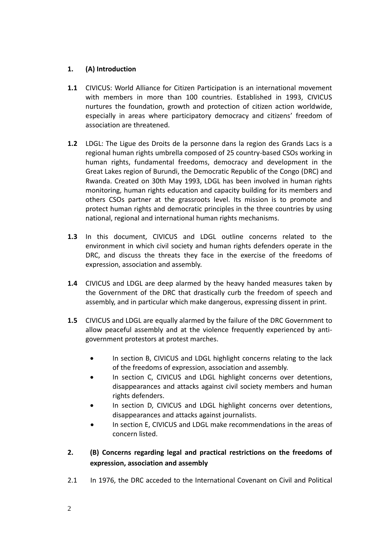### **1. (A) Introduction**

- **1.1** CIVICUS: World Alliance for Citizen Participation is an international movement with members in more than 100 countries. Established in 1993, CIVICUS nurtures the foundation, growth and protection of citizen action worldwide, especially in areas where participatory democracy and citizens' freedom of association are threatened.
- **1.2** LDGL: The Ligue des Droits de la personne dans la region des Grands Lacs is a regional human rights umbrella composed of 25 country-based CSOs working in human rights, fundamental freedoms, democracy and development in the Great Lakes region of Burundi, the Democratic Republic of the Congo (DRC) and Rwanda. Created on 30th May 1993, LDGL has been involved in human rights monitoring, human rights education and capacity building for its members and others CSOs partner at the grassroots level. Its mission is to promote and protect human rights and democratic principles in the three countries by using national, regional and international human rights mechanisms.
- **1.3** In this document, CIVICUS and LDGL outline concerns related to the environment in which civil society and human rights defenders operate in the DRC, and discuss the threats they face in the exercise of the freedoms of expression, association and assembly.
- **1.4** CIVICUS and LDGL are deep alarmed by the heavy handed measures taken by the Government of the DRC that drastically curb the freedom of speech and assembly, and in particular which make dangerous, expressing dissent in print.
- **1.5** CIVICUS and LDGL are equally alarmed by the failure of the DRC Government to allow peaceful assembly and at the violence frequently experienced by antigovernment protestors at protest marches.
	- In section B, CIVICUS and LDGL highlight concerns relating to the lack of the freedoms of expression, association and assembly.
	- In section C, CIVICUS and LDGL highlight concerns over detentions, disappearances and attacks against civil society members and human rights defenders.
	- In section D, CIVICUS and LDGL highlight concerns over detentions, disappearances and attacks against journalists.
	- In section E, CIVICUS and LDGL make recommendations in the areas of concern listed.
- **2. (B) Concerns regarding legal and practical restrictions on the freedoms of expression, association and assembly**
- 2.1 In 1976, the DRC acceded to the International Covenant on Civil and Political
- 2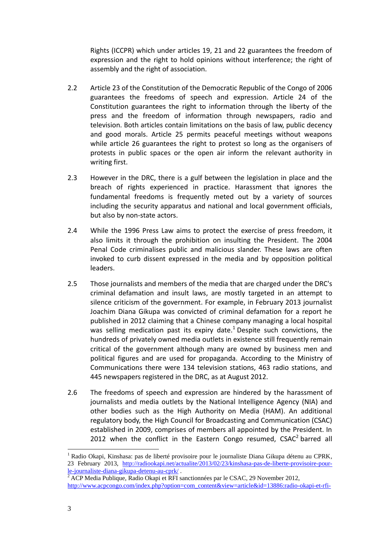Rights (ICCPR) which under articles 19, 21 and 22 guarantees the freedom of expression and the right to hold opinions without interference; the right of assembly and the right of association.

- 2.2 Article 23 of the Constitution of the Democratic Republic of the Congo of 2006 guarantees the freedoms of speech and expression. Article 24 of the Constitution guarantees the right to information through the liberty of the press and the freedom of information through newspapers, radio and television. Both articles contain limitations on the basis of law, public decency and good morals. Article 25 permits peaceful meetings without weapons while article 26 guarantees the right to protest so long as the organisers of protests in public spaces or the open air inform the relevant authority in writing first.
- 2.3 However in the DRC, there is a gulf between the legislation in place and the breach of rights experienced in practice. Harassment that ignores the fundamental freedoms is frequently meted out by a variety of sources including the security apparatus and national and local government officials, but also by non-state actors.
- 2.4 While the 1996 Press Law aims to protect the exercise of press freedom, it also limits it through the prohibition on insulting the President. The 2004 Penal Code criminalises public and malicious slander. These laws are often invoked to curb dissent expressed in the media and by opposition political leaders.
- 2.5 Those journalists and members of the media that are charged under the DRC's criminal defamation and insult laws, are mostly targeted in an attempt to silence criticism of the government. For example, in February 2013 journalist Joachim Diana Gikupa was convicted of criminal defamation for a report he published in 2012 claiming that a Chinese company managing a local hospital was selling medication past its expiry date.<sup>1</sup> Despite such convictions, the hundreds of privately owned media outlets in existence still frequently remain critical of the government although many are owned by business men and political figures and are used for propaganda. According to the Ministry of Communications there were 134 television stations, 463 radio stations, and 445 newspapers registered in the DRC, as at August 2012.
- 2.6 The freedoms of speech and expression are hindered by the harassment of journalists and media outlets by the National Intelligence Agency (NIA) and other bodies such as the High Authority on Media (HAM). An additional regulatory body, the High Council for Broadcasting and Communication (CSAC) established in 2009, comprises of members all appointed by the President. In 2012 when the conflict in the Eastern Congo resumed,  $CSAC<sup>2</sup>$  barred all

 $\overline{a}$ 

<sup>&</sup>lt;sup>1</sup> Radio Okapi, Kinshasa: pas de liberté provisoire pour le journaliste Diana Gikupa détenu au CPRK, 23 February 2013, [http://radiookapi.net/actualite/2013/02/23/kinshasa-pas-de-liberte-provisoire-pour](http://radiookapi.net/actualite/2013/02/23/kinshasa-pas-de-liberte-provisoire-pour-le-journaliste-diana-gikupa-detenu-au-cprk/)[le-journaliste-diana-gikupa-detenu-au-cprk/](http://radiookapi.net/actualite/2013/02/23/kinshasa-pas-de-liberte-provisoire-pour-le-journaliste-diana-gikupa-detenu-au-cprk/) .

<sup>&</sup>lt;sup>2</sup> ACP Media Publique, Radio Okapi et RFI sanctionnées par le CSAC, 29 November 2012, [http://www.acpcongo.com/index.php?option=com\\_content&view=article&id=13886:radio-okapi-et-rfi-](http://www.acpcongo.com/index.php?option=com_content&view=article&id=13886:radio-okapi-et-rfi-sanctionnees-par-le-csac&catid=35:nation&Itemid=56)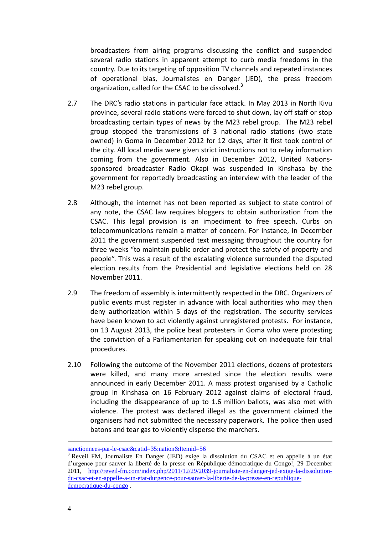broadcasters from airing programs discussing the conflict and suspended several radio stations in apparent attempt to curb media freedoms in the country. Due to its targeting of opposition TV channels and repeated instances of operational bias, Journalistes en Danger (JED), the press freedom organization, called for the CSAC to be dissolved.<sup>3</sup>

- 2.7 The DRC's radio stations in particular face attack. In May 2013 in North Kivu province, several radio stations were forced to shut down, lay off staff or stop broadcasting certain types of news by the M23 rebel group. The M23 rebel group stopped the transmissions of 3 national radio stations (two state owned) in Goma in December 2012 for 12 days, after it first took control of the city. All local media were given strict instructions not to relay information coming from the government. Also in December 2012, United Nationssponsored broadcaster Radio Okapi was suspended in Kinshasa by the government for reportedly broadcasting an interview with the leader of the M23 rebel group.
- 2.8 Although, the internet has not been reported as subject to state control of any note, the CSAC law requires bloggers to obtain authorization from the CSAC. This legal provision is an impediment to free speech. Curbs on telecommunications remain a matter of concern. For instance, in December 2011 the government suspended text messaging throughout the country for three weeks "to maintain public order and protect the safety of property and people". This was a result of the escalating violence surrounded the disputed election results from the Presidential and legislative elections held on 28 November 2011.
- 2.9 The freedom of assembly is intermittently respected in the DRC. Organizers of public events must register in advance with local authorities who may then deny authorization within 5 days of the registration. The security services have been known to act violently against unregistered protests. For instance, on 13 August 2013, the police beat protesters in Goma who were protesting the conviction of a Parliamentarian for speaking out on inadequate fair trial procedures.
- 2.10 Following the outcome of the November 2011 elections, dozens of protesters were killed, and many more arrested since the election results were announced in early December 2011. A mass protest organised by a Catholic group in Kinshasa on 16 February 2012 against claims of electoral fraud, including the disappearance of up to 1.6 million ballots, was also met with violence. The protest was declared illegal as the government claimed the organisers had not submitted the necessary paperwork. The police then used batons and tear gas to violently disperse the marchers.

1

[sanctionnees-par-le-csac&catid=35:nation&Itemid=56](http://www.acpcongo.com/index.php?option=com_content&view=article&id=13886:radio-okapi-et-rfi-sanctionnees-par-le-csac&catid=35:nation&Itemid=56)

<sup>3</sup> Reveil FM, Journaliste En Danger (JED) exige la dissolution du CSAC et en appelle à un état d'urgence pour sauver la liberté de la presse en République démocratique du Congo!, 29 December 2011, [http://reveil-fm.com/index.php/2011/12/29/2039-journaliste-en-danger-jed-exige-la-dissolution](http://reveil-fm.com/index.php/2011/12/29/2039-journaliste-en-danger-jed-exige-la-dissolution-du-csac-et-en-appelle-a-un-etat-durgence-pour-sauver-la-liberte-de-la-presse-en-republique-democratique-du-congo)[du-csac-et-en-appelle-a-un-etat-durgence-pour-sauver-la-liberte-de-la-presse-en-republique](http://reveil-fm.com/index.php/2011/12/29/2039-journaliste-en-danger-jed-exige-la-dissolution-du-csac-et-en-appelle-a-un-etat-durgence-pour-sauver-la-liberte-de-la-presse-en-republique-democratique-du-congo)[democratique-du-congo](http://reveil-fm.com/index.php/2011/12/29/2039-journaliste-en-danger-jed-exige-la-dissolution-du-csac-et-en-appelle-a-un-etat-durgence-pour-sauver-la-liberte-de-la-presse-en-republique-democratique-du-congo) .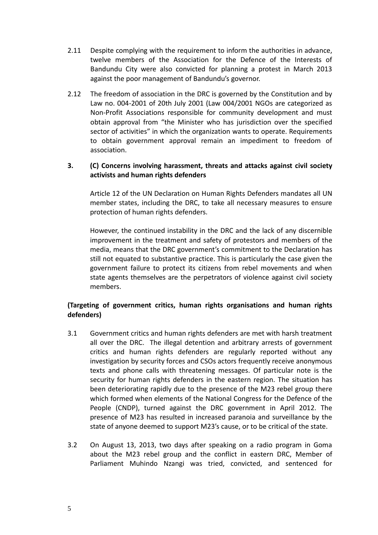- 2.11 Despite complying with the requirement to inform the authorities in advance, twelve members of the Association for the Defence of the Interests of Bandundu City were also convicted for planning a protest in March 2013 against the poor management of Bandundu's governor.
- 2.12 The freedom of association in the DRC is governed by the Constitution and by Law no. 004-2001 of 20th July 2001 (Law 004/2001 NGOs are categorized as Non-Profit Associations responsible for community development and must obtain approval from "the Minister who has jurisdiction over the specified sector of activities" in which the organization wants to operate. Requirements to obtain government approval remain an impediment to freedom of association.

#### **3. (C) Concerns involving harassment, threats and attacks against civil society activists and human rights defenders**

Article 12 of the UN Declaration on Human Rights Defenders mandates all UN member states, including the DRC, to take all necessary measures to ensure protection of human rights defenders.

However, the continued instability in the DRC and the lack of any discernible improvement in the treatment and safety of protestors and members of the media, means that the DRC government's commitment to the Declaration has still not equated to substantive practice. This is particularly the case given the government failure to protect its citizens from rebel movements and when state agents themselves are the perpetrators of violence against civil society members.

## **(Targeting of government critics, human rights organisations and human rights defenders)**

- 3.1 Government critics and human rights defenders are met with harsh treatment all over the DRC. The illegal detention and arbitrary arrests of government critics and human rights defenders are regularly reported without any investigation by security forces and CSOs actors frequently receive anonymous texts and phone calls with threatening messages. Of particular note is the security for human rights defenders in the eastern region. The situation has been deteriorating rapidly due to the presence of the M23 rebel group there which formed when elements of the National Congress for the Defence of the People (CNDP), turned against the DRC government in April 2012. The presence of M23 has resulted in increased paranoia and surveillance by the state of anyone deemed to support M23's cause, or to be critical of the state.
- 3.2 On August 13, 2013, two days after speaking on a radio program in Goma about the M23 rebel group and the conflict in eastern DRC, Member of Parliament Muhindo Nzangi was tried, convicted, and sentenced for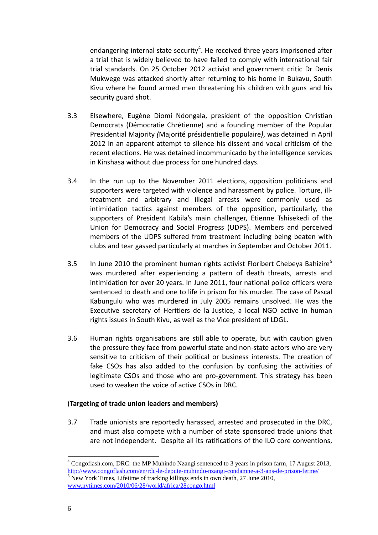endangering internal state security<sup>4</sup>. He received three years imprisoned after a trial that is widely believed to have failed to comply with international fair trial standards. On 25 October 2012 activist and government critic Dr Denis Mukwege was attacked shortly after returning to his home in Bukavu, South Kivu where he found armed men threatening his children with guns and his security guard shot.

- 3.3 Elsewhere, Eugène Diomi Ndongala, president of the opposition Christian Democrats (Démocratie Chrétienne) and a founding member of the Popular Presidential Majority *(*Majorité présidentielle populaire*)*, was detained in April 2012 in an apparent attempt to silence his dissent and vocal criticism of the recent elections. He was detained incommunicado by the intelligence services in Kinshasa without due process for one hundred days.
- 3.4 In the run up to the November 2011 elections, opposition politicians and supporters were targeted with violence and harassment by police. Torture, illtreatment and arbitrary and illegal arrests were commonly used as intimidation tactics against members of the opposition, particularly, the supporters of President Kabila's main challenger, Etienne Tshisekedi of the Union for Democracy and Social Progress (UDPS). Members and perceived members of the UDPS suffered from treatment including being beaten with clubs and tear gassed particularly at marches in September and October 2011.
- 3.5 In June 2010 the prominent human rights activist Floribert Chebeya Bahizire<sup>5</sup> was murdered after experiencing a pattern of death threats, arrests and intimidation for over 20 years. In June 2011, four national police officers were sentenced to death and one to life in prison for his murder. The case of Pascal Kabungulu who was murdered in July 2005 remains unsolved. He was the Executive secretary of Heritiers de la Justice, a local NGO active in human rights issues in South Kivu, as well as the Vice president of LDGL.
- 3.6 Human rights organisations are still able to operate, but with caution given the pressure they face from powerful state and non-state actors who are very sensitive to criticism of their political or business interests. The creation of fake CSOs has also added to the confusion by confusing the activities of legitimate CSOs and those who are pro-government. This strategy has been used to weaken the voice of active CSOs in DRC.

#### (**Targeting of trade union leaders and members)**

3.7 Trade unionists are reportedly harassed, arrested and prosecuted in the DRC, and must also compete with a number of state sponsored trade unions that are not independent. Despite all its ratifications of the ILO core conventions,

 $\overline{a}$ 

<sup>4</sup> Congoflash.com, DRC: the MP Muhindo Nzangi sentenced to 3 years in prison farm, 17 August 2013, <http://www.congoflash.com/en/rdc-le-depute-muhindo-nzangi-condamne-a-3-ans-de-prison-ferme/> <sup>5</sup> New York Times, Lifetime of tracking killings ends in own death, 27 June 2010, [www.nytimes.com/2010/06/28/world/africa/28congo.html](http://www.nytimes.com/2010/06/28/world/africa/28congo.html)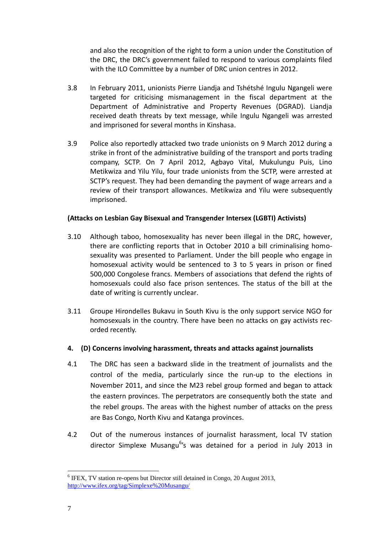and also the recognition of the right to form a union under the Constitution of the DRC, the DRC's government failed to respond to various complaints filed with the ILO Committee by a number of DRC union centres in 2012.

- 3.8 In February 2011, unionists Pierre Liandja and Tshétshé Ingulu Ngangeli were targeted for criticising mismanagement in the fiscal department at the Department of Administrative and Property Revenues (DGRAD). Liandja received death threats by text message, while Ingulu Ngangeli was arrested and imprisoned for several months in Kinshasa.
- 3.9 Police also reportedly attacked two trade unionists on 9 March 2012 during a strike in front of the administrative building of the transport and ports trading company, SCTP. On 7 April 2012, Agbayo Vital, Mukulungu Puis, Lino Metikwiza and Yilu Yilu, four trade unionists from the SCTP, were arrested at SCTP's request. They had been demanding the payment of wage arrears and a review of their transport allowances. Metikwiza and Yilu were subsequently imprisoned.

#### **(Attacks on Lesbian Gay Bisexual and Transgender Intersex (LGBTI) Activists)**

- 3.10 Although taboo, homosexuality has never been illegal in the DRC, however, there are conflicting reports that in October 2010 a bill criminalising homosexuality was presented to Parliament. Under the bill people who engage in homosexual activity would be sentenced to 3 to 5 years in prison or fined 500,000 Congolese francs. Members of associations that defend the rights of homosexuals could also face prison sentences. The status of the bill at the date of writing is currently unclear.
- 3.11 Groupe Hirondelles Bukavu in South Kivu is the only support service NGO for homosexuals in the country. There have been no attacks on gay activists recorded recently.

### **4. (D) Concerns involving harassment, threats and attacks against journalists**

- 4.1 The DRC has seen a backward slide in the treatment of journalists and the control of the media, particularly since the run-up to the elections in November 2011, and since the M23 rebel group formed and began to attack the eastern provinces. The perpetrators are consequently both the state and the rebel groups. The areas with the highest number of attacks on the press are Bas Congo, North Kivu and Katanga provinces.
- 4.2 Out of the numerous instances of journalist harassment, local TV station director Simplexe Musangu<sup>6</sup>'s was detained for a period in July 2013 in

 $\overline{a}$ <sup>6</sup> IFEX, TV station re-opens but Director still detained in Congo, 20 August 2013, <http://www.ifex.org/tag/Simplexe%20Musangu/>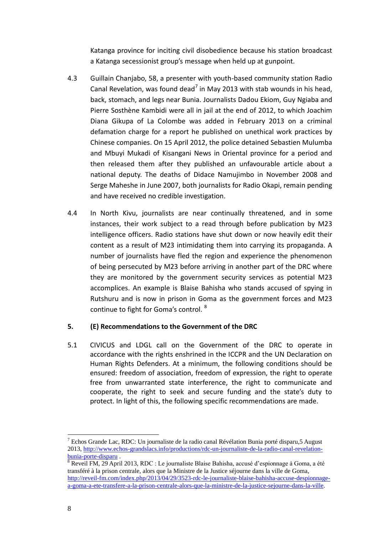Katanga province for inciting civil disobedience because his station broadcast a Katanga secessionist group's message when held up at gunpoint.

- 4.3 Guillain Chanjabo, 58, a presenter with youth-based community station Radio Canal Revelation, was found dead<sup>7</sup> in May 2013 with stab wounds in his head, back, stomach, and legs near Bunia. Journalists Dadou Ekiom, Guy Ngiaba and Pierre Sosthène Kambidi were all in jail at the end of 2012, to which Joachim Diana Gikupa of La Colombe was added in February 2013 on a criminal defamation charge for a report he published on unethical work practices by Chinese companies. On 15 April 2012, the police detained Sebastien Mulumba and Mbuyi Mukadi of Kisangani News in Oriental province for a period and then released them after they published an unfavourable article about a national deputy. The deaths of Didace Namujimbo in November 2008 and Serge Maheshe in June 2007, both journalists for Radio Okapi, remain pending and have received no credible investigation.
- 4.4 In North Kivu, journalists are near continually threatened, and in some instances, their work subject to a read through before publication by M23 intelligence officers. Radio stations have shut down or now heavily edit their content as a result of M23 intimidating them into carrying its propaganda. A number of journalists have fled the region and experience the phenomenon of being persecuted by M23 before arriving in another part of the DRC where they are monitored by the government security services as potential M23 accomplices. An example is Blaise Bahisha who stands accused of spying in Rutshuru and is now in prison in Goma as the government forces and M23 continue to fight for Goma's control. <sup>8</sup>

### **5. (E) Recommendations to the Government of the DRC**

5.1 CIVICUS and LDGL call on the Government of the DRC to operate in accordance with the rights enshrined in the ICCPR and the UN Declaration on Human Rights Defenders. At a minimum, the following conditions should be ensured: freedom of association, freedom of expression, the right to operate free from unwarranted state interference, the right to communicate and cooperate, the right to seek and secure funding and the state's duty to protect. In light of this, the following specific recommendations are made.

 $\overline{a}$ 

<sup>&</sup>lt;sup>7</sup> Echos Grande Lac, RDC: Un journaliste de la radio canal Révélation Bunia porté disparu, 5 August 2013, [http://www.echos-grandslacs.info/productions/rdc-un-journaliste-de-la-radio-canal-revelation](http://www.echos-grandslacs.info/productions/rdc-un-journaliste-de-la-radio-canal-revelation-bunia-porte-disparu)[bunia-porte-disparu](http://www.echos-grandslacs.info/productions/rdc-un-journaliste-de-la-radio-canal-revelation-bunia-porte-disparu) .

<sup>&</sup>lt;sup>8</sup> Reveil FM, 29 April 2013, RDC : Le journaliste Blaise Bahisha, accusé d'espionnage à Goma, a été transféré à la prison centrale, alors que la Ministre de la Justice séjourne dans la ville de Goma, [http://reveil-fm.com/index.php/2013/04/29/3523-rdc-le-journaliste-blaise-bahisha-accuse-despionnage](http://reveil-fm.com/index.php/2013/04/29/3523-rdc-le-journaliste-blaise-bahisha-accuse-despionnage-a-goma-a-ete-transfere-a-la-prison-centrale-alors-que-la-ministre-de-la-justice-sejourne-dans-la-ville)[a-goma-a-ete-transfere-a-la-prison-centrale-alors-que-la-ministre-de-la-justice-sejourne-dans-la-ville.](http://reveil-fm.com/index.php/2013/04/29/3523-rdc-le-journaliste-blaise-bahisha-accuse-despionnage-a-goma-a-ete-transfere-a-la-prison-centrale-alors-que-la-ministre-de-la-justice-sejourne-dans-la-ville)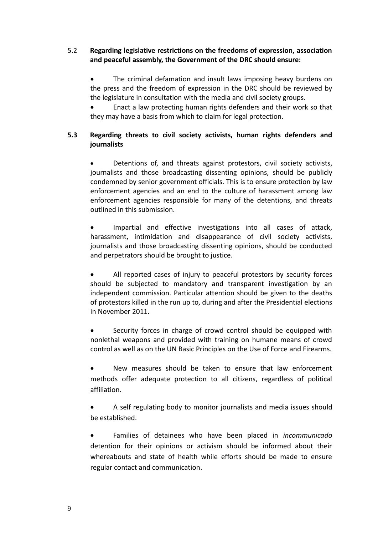### 5.2 **Regarding legislative restrictions on the freedoms of expression, association and peaceful assembly, the Government of the DRC should ensure:**

 The criminal defamation and insult laws imposing heavy burdens on the press and the freedom of expression in the DRC should be reviewed by the legislature in consultation with the media and civil society groups.

 Enact a law protecting human rights defenders and their work so that they may have a basis from which to claim for legal protection.

## **5.3 Regarding threats to civil society activists, human rights defenders and journalists**

 Detentions of, and threats against protestors, civil society activists, journalists and those broadcasting dissenting opinions, should be publicly condemned by senior government officials. This is to ensure protection by law enforcement agencies and an end to the culture of harassment among law enforcement agencies responsible for many of the detentions, and threats outlined in this submission.

 Impartial and effective investigations into all cases of attack, harassment, intimidation and disappearance of civil society activists, journalists and those broadcasting dissenting opinions, should be conducted and perpetrators should be brought to justice.

 All reported cases of injury to peaceful protestors by security forces should be subjected to mandatory and transparent investigation by an independent commission. Particular attention should be given to the deaths of protestors killed in the run up to, during and after the Presidential elections in November 2011.

 Security forces in charge of crowd control should be equipped with nonlethal weapons and provided with training on humane means of crowd control as well as on the UN Basic Principles on the Use of Force and Firearms.

 New measures should be taken to ensure that law enforcement methods offer adequate protection to all citizens, regardless of political affiliation.

 A self regulating body to monitor journalists and media issues should be established.

 Families of detainees who have been placed in *incommunicado* detention for their opinions or activism should be informed about their whereabouts and state of health while efforts should be made to ensure regular contact and communication.